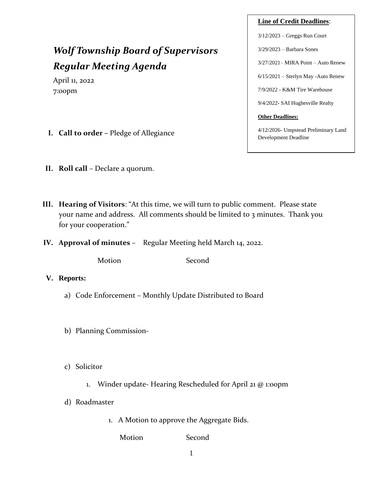# *Wolf Township Board of Supervisors Regular Meeting Agenda*

April 11, 2022 7:00pm

- **I. Call to order –** Pledge of Allegiance
- **II. Roll call** Declare a quorum.
- **III. Hearing of Visitors**: "At this time, we will turn to public comment. Please state your name and address. All comments should be limited to 3 minutes. Thank you for your cooperation."
- **IV. Approval of minutes** Regular Meeting held March 14, 2022.

Motion Second

- **V. Reports:**
	- a) Code Enforcement Monthly Update Distributed to Board
	- b) Planning Commission-
	- c) Solicitor
		- 1. Winder update- Hearing Rescheduled for April 21 @ 1:00pm
	- d) Roadmaster
		- 1. A Motion to approve the Aggregate Bids.

Motion Second

3/12/2023 – Greggs Run Court 3/29/2023 – Barbara Sones 3/27/2021– MIRA Point – Auto Renew 6/15/2021 – Sterlyn May -Auto Renew

**Line of Credit Deadlines**:

7/9/2022 - K&M Tire Warehouse

9/4/2022- SAI Hughesville Realty

#### **Other Deadlines:**

4/12/2026- Umpstead Preliminary Land Development Deadline